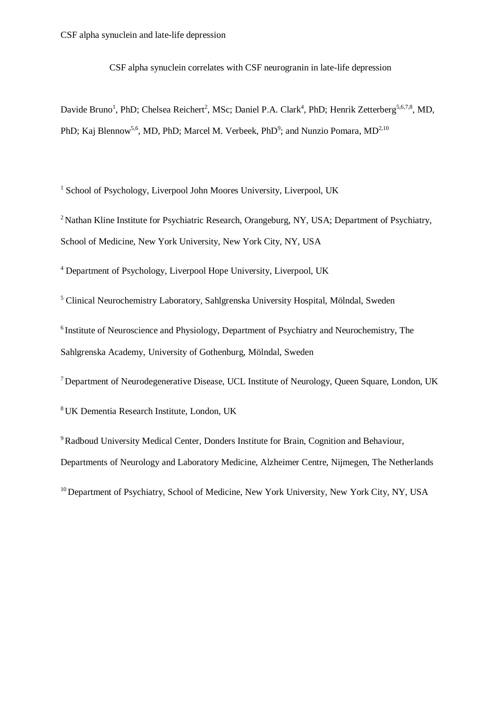CSF alpha synuclein correlates with CSF neurogranin in late-life depression

Davide Bruno<sup>1</sup>, PhD; Chelsea Reichert<sup>2</sup>, MSc; Daniel P.A. Clark<sup>4</sup>, PhD; Henrik Zetterberg<sup>5,6,7,8</sup>, MD, PhD; Kaj Blennow<sup>5,6</sup>, MD, PhD; Marcel M. Verbeek, PhD<sup>9</sup>; and Nunzio Pomara, MD<sup>2,10</sup>

<sup>1</sup> School of Psychology, Liverpool John Moores University, Liverpool, UK

<sup>2</sup> Nathan Kline Institute for Psychiatric Research, Orangeburg, NY, USA; Department of Psychiatry, School of Medicine, New York University, New York City, NY, USA

<sup>4</sup> Department of Psychology, Liverpool Hope University, Liverpool, UK

<sup>5</sup> Clinical Neurochemistry Laboratory, Sahlgrenska University Hospital, Mölndal, Sweden

<sup>6</sup> Institute of Neuroscience and Physiology, Department of Psychiatry and Neurochemistry, The Sahlgrenska Academy, University of Gothenburg, Mölndal, Sweden

<sup>7</sup>Department of Neurodegenerative Disease, UCL Institute of Neurology, Queen Square, London, UK

<sup>8</sup> UK Dementia Research Institute, London, UK

<sup>9</sup>Radboud University Medical Center, Donders Institute for Brain, Cognition and Behaviour, Departments of Neurology and Laboratory Medicine, Alzheimer Centre, Nijmegen, The Netherlands

<sup>10</sup> Department of Psychiatry, School of Medicine, New York University, New York City, NY, USA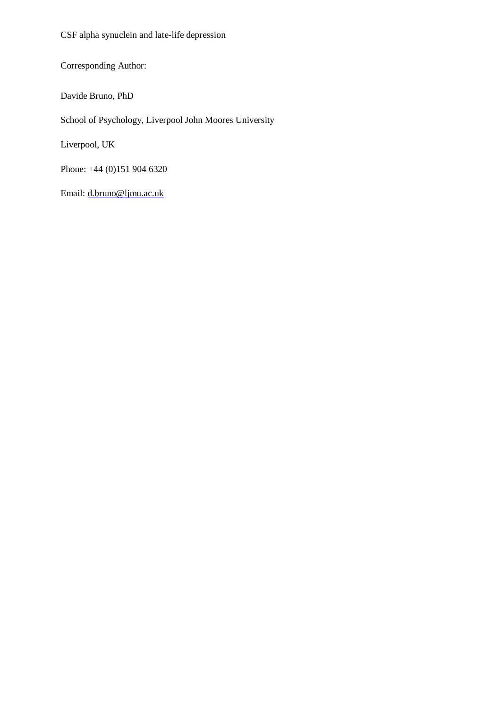CSF alpha synuclein and late-life depression

Corresponding Author:

Davide Bruno, PhD

School of Psychology, Liverpool John Moores University

Liverpool, UK

Phone: +44 (0)151 904 6320

Email: d.bruno@ljmu.ac.uk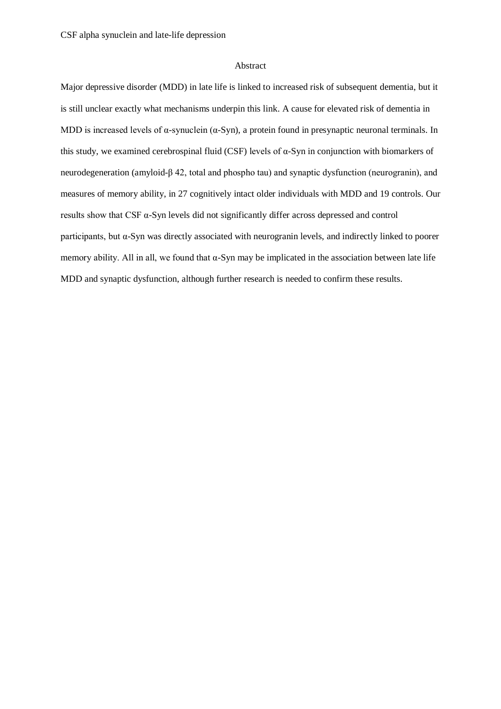## Abstract

Major depressive disorder (MDD) in late life is linked to increased risk of subsequent dementia, but it is still unclear exactly what mechanisms underpin this link. A cause for elevated risk of dementia in MDD is increased levels of  $\alpha$ -synuclein ( $\alpha$ -Syn), a protein found in presynaptic neuronal terminals. In this study, we examined cerebrospinal fluid (CSF) levels of  $\alpha$ -Syn in conjunction with biomarkers of neurodegeneration (amyloid-β 42, total and phospho tau) and synaptic dysfunction (neurogranin), and measures of memory ability, in 27 cognitively intact older individuals with MDD and 19 controls. Our results show that CSF α-Syn levels did not significantly differ across depressed and control participants, but α-Syn was directly associated with neurogranin levels, and indirectly linked to poorer memory ability. All in all, we found that  $\alpha$ -Syn may be implicated in the association between late life MDD and synaptic dysfunction, although further research is needed to confirm these results.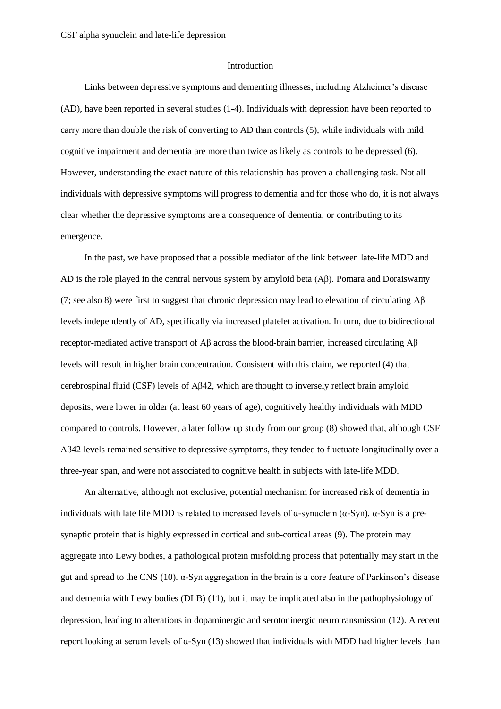### Introduction

Links between depressive symptoms and dementing illnesses, including Alzheimer's disease (AD), have been reported in several studies (1-4). Individuals with depression have been reported to carry more than double the risk of converting to AD than controls (5), while individuals with mild cognitive impairment and dementia are more than twice as likely as controls to be depressed (6). However, understanding the exact nature of this relationship has proven a challenging task. Not all individuals with depressive symptoms will progress to dementia and for those who do, it is not always clear whether the depressive symptoms are a consequence of dementia, or contributing to its emergence.

In the past, we have proposed that a possible mediator of the link between late-life MDD and AD is the role played in the central nervous system by amyloid beta (Aβ). Pomara and Doraiswamy (7; see also 8) were first to suggest that chronic depression may lead to elevation of circulating Aβ levels independently of AD, specifically via increased platelet activation. In turn, due to bidirectional receptor-mediated active transport of Aβ across the blood-brain barrier, increased circulating Aβ levels will result in higher brain concentration. Consistent with this claim, we reported (4) that cerebrospinal fluid (CSF) levels of Aβ42, which are thought to inversely reflect brain amyloid deposits, were lower in older (at least 60 years of age), cognitively healthy individuals with MDD compared to controls. However, a later follow up study from our group (8) showed that, although CSF Aβ42 levels remained sensitive to depressive symptoms, they tended to fluctuate longitudinally over a three-year span, and were not associated to cognitive health in subjects with late-life MDD.

An alternative, although not exclusive, potential mechanism for increased risk of dementia in individuals with late life MDD is related to increased levels of  $\alpha$ -synuclein ( $\alpha$ -Syn).  $\alpha$ -Syn is a presynaptic protein that is highly expressed in cortical and sub-cortical areas (9). The protein may aggregate into Lewy bodies, a pathological protein misfolding process that potentially may start in the gut and spread to the CNS (10). α-Syn aggregation in the brain is a core feature of Parkinson's disease and dementia with Lewy bodies (DLB) (11), but it may be implicated also in the pathophysiology of depression, leading to alterations in dopaminergic and serotoninergic neurotransmission (12). A recent report looking at serum levels of α-Syn (13) showed that individuals with MDD had higher levels than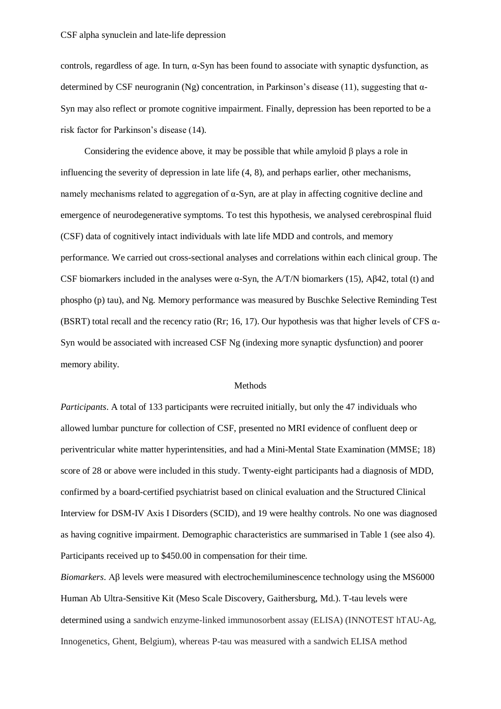### CSF alpha synuclein and late-life depression

controls, regardless of age. In turn,  $\alpha$ -Syn has been found to associate with synaptic dysfunction, as determined by CSF neurogranin (Ng) concentration, in Parkinson's disease (11), suggesting that  $\alpha$ -Syn may also reflect or promote cognitive impairment. Finally, depression has been reported to be a risk factor for Parkinson's disease (14).

Considering the evidence above, it may be possible that while amyloid  $\beta$  plays a role in influencing the severity of depression in late life (4, 8), and perhaps earlier, other mechanisms, namely mechanisms related to aggregation of α-Syn, are at play in affecting cognitive decline and emergence of neurodegenerative symptoms. To test this hypothesis, we analysed cerebrospinal fluid (CSF) data of cognitively intact individuals with late life MDD and controls, and memory performance. We carried out cross-sectional analyses and correlations within each clinical group. The CSF biomarkers included in the analyses were  $\alpha$ -Syn, the A/T/N biomarkers (15), A $\beta$ 42, total (t) and phospho (p) tau), and Ng. Memory performance was measured by Buschke Selective Reminding Test (BSRT) total recall and the recency ratio (Rr; 16, 17). Our hypothesis was that higher levels of CFS  $\alpha$ -Syn would be associated with increased CSF Ng (indexing more synaptic dysfunction) and poorer memory ability.

#### Methods

*Participants*. A total of 133 participants were recruited initially, but only the 47 individuals who allowed lumbar puncture for collection of CSF, presented no MRI evidence of confluent deep or periventricular white matter hyperintensities, and had a Mini-Mental State Examination (MMSE; 18) score of 28 or above were included in this study. Twenty-eight participants had a diagnosis of MDD, confirmed by a board-certified psychiatrist based on clinical evaluation and the Structured Clinical Interview for DSM-IV Axis I Disorders (SCID), and 19 were healthy controls. No one was diagnosed as having cognitive impairment. Demographic characteristics are summarised in Table 1 (see also 4). Participants received up to \$450.00 in compensation for their time.

*Biomarkers*. Aβ levels were measured with electrochemiluminescence technology using the MS6000 Human Ab Ultra-Sensitive Kit (Meso Scale Discovery, Gaithersburg, Md.). T-tau levels were determined using a sandwich enzyme-linked immunosorbent assay (ELISA) (INNOTEST hTAU-Ag, Innogenetics, Ghent, Belgium), whereas P-tau was measured with a sandwich ELISA method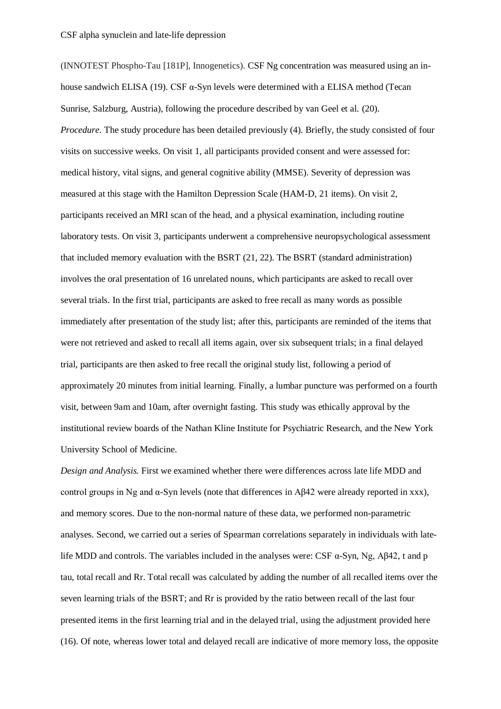(INNOTEST Phospho-Tau [181P], Innogenetics). CSF Ng concentration was measured using an inhouse sandwich ELISA (19). CSF  $α$ -Syn levels were determined with a ELISA method (Tecan Sunrise, Salzburg, Austria), following the procedure described by van Geel et al. (20). *Procedure*. The study procedure has been detailed previously (4). Briefly, the study consisted of four visits on successive weeks. On visit 1, all participants provided consent and were assessed for: medical history, vital signs, and general cognitive ability (MMSE). Severity of depression was measured at this stage with the Hamilton Depression Scale (HAM-D, 21 items). On visit 2, participants received an MRI scan of the head, and a physical examination, including routine laboratory tests. On visit 3, participants underwent a comprehensive neuropsychological assessment that included memory evaluation with the BSRT (21, 22). The BSRT (standard administration) involves the oral presentation of 16 unrelated nouns, which participants are asked to recall over several trials. In the first trial, participants are asked to free recall as many words as possible immediately after presentation of the study list; after this, participants are reminded of the items that were not retrieved and asked to recall all items again, over six subsequent trials; in a final delayed trial, participants are then asked to free recall the original study list, following a period of approximately 20 minutes from initial learning. Finally, a lumbar puncture was performed on a fourth visit, between 9am and 10am, after overnight fasting. This study was ethically approval by the institutional review boards of the Nathan Kline Institute for Psychiatric Research, and the New York University School of Medicine.

*Design and Analysis.* First we examined whether there were differences across late life MDD and control groups in Ng and α-Syn levels (note that differences in Aβ42 were already reported in xxx), and memory scores. Due to the non-normal nature of these data, we performed non-parametric analyses. Second, we carried out a series of Spearman correlations separately in individuals with latelife MDD and controls. The variables included in the analyses were: CSF  $\alpha$ -Syn, Ng, A $\beta$ 42, t and p tau, total recall and Rr. Total recall was calculated by adding the number of all recalled items over the seven learning trials of the BSRT; and Rr is provided by the ratio between recall of the last four presented items in the first learning trial and in the delayed trial, using the adjustment provided here (16). Of note, whereas lower total and delayed recall are indicative of more memory loss, the opposite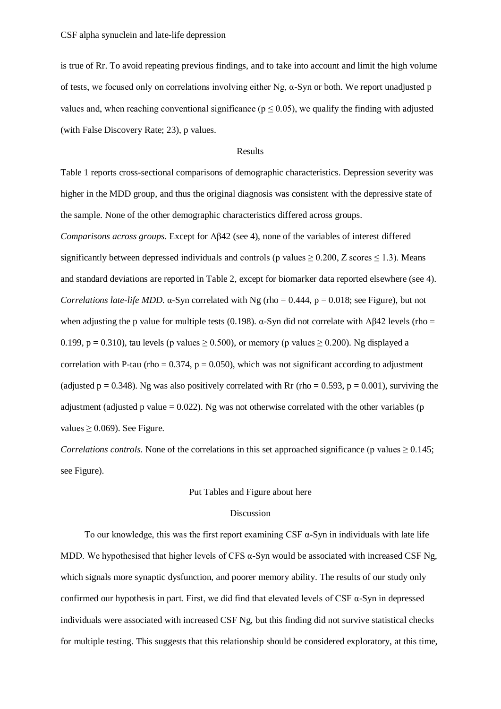is true of Rr. To avoid repeating previous findings, and to take into account and limit the high volume of tests, we focused only on correlations involving either Ng, α-Syn or both. We report unadjusted p values and, when reaching conventional significance ( $p \le 0.05$ ), we qualify the finding with adjusted (with False Discovery Rate; 23), p values.

## Results

Table 1 reports cross-sectional comparisons of demographic characteristics. Depression severity was higher in the MDD group, and thus the original diagnosis was consistent with the depressive state of the sample. None of the other demographic characteristics differed across groups. *Comparisons across groups*. Except for Aβ42 (see 4), none of the variables of interest differed significantly between depressed individuals and controls (p values  $\geq 0.200$ , Z scores  $\leq 1.3$ ). Means and standard deviations are reported in Table 2, except for biomarker data reported elsewhere (see 4). *Correlations late-life MDD*.  $\alpha$ -Syn correlated with Ng (rho = 0.444,  $p = 0.018$ ; see Figure), but not when adjusting the p value for multiple tests (0.198).  $\alpha$ -Syn did not correlate with Aβ42 levels (rho =

correlation with P-tau (rho =  $0.374$ , p = 0.050), which was not significant according to adjustment (adjusted  $p = 0.348$ ). Ng was also positively correlated with Rr (rho = 0.593, p = 0.001), surviving the adjustment (adjusted p value  $= 0.022$ ). Ng was not otherwise correlated with the other variables (p values  $\geq$  0.069). See Figure.

0.199, p = 0.310), tau levels (p values  $\geq$  0.500), or memory (p values  $\geq$  0.200). Ng displayed a

*Correlations controls*. None of the correlations in this set approached significance (p values  $\geq 0.145$ ; see Figure).

# Put Tables and Figure about here

# Discussion

To our knowledge, this was the first report examining CSF  $\alpha$ -Syn in individuals with late life MDD. We hypothesised that higher levels of CFS  $\alpha$ -Syn would be associated with increased CSF Ng, which signals more synaptic dysfunction, and poorer memory ability. The results of our study only confirmed our hypothesis in part. First, we did find that elevated levels of CSF α-Syn in depressed individuals were associated with increased CSF Ng, but this finding did not survive statistical checks for multiple testing. This suggests that this relationship should be considered exploratory, at this time,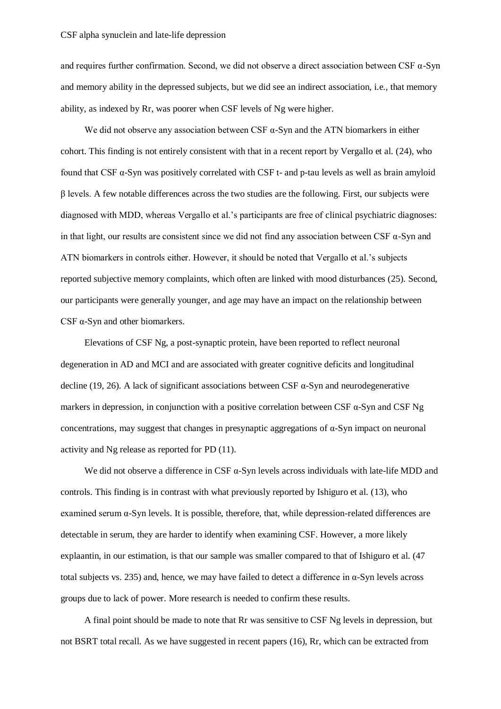and requires further confirmation. Second, we did not observe a direct association between CSF  $\alpha$ -Syn and memory ability in the depressed subjects, but we did see an indirect association, i.e., that memory ability, as indexed by Rr, was poorer when CSF levels of Ng were higher.

We did not observe any association between CSF  $\alpha$ -Syn and the ATN biomarkers in either cohort. This finding is not entirely consistent with that in a recent report by Vergallo et al. (24), who found that CSF α-Syn was positively correlated with CSF t- and p-tau levels as well as brain amyloid β levels. A few notable differences across the two studies are the following. First, our subjects were diagnosed with MDD, whereas Vergallo et al.'s participants are free of clinical psychiatric diagnoses: in that light, our results are consistent since we did not find any association between CSF  $\alpha$ -Syn and ATN biomarkers in controls either. However, it should be noted that Vergallo et al.'s subjects reported subjective memory complaints, which often are linked with mood disturbances (25). Second, our participants were generally younger, and age may have an impact on the relationship between CSF  $\alpha$ -Syn and other biomarkers.

Elevations of CSF Ng, a post-synaptic protein, have been reported to reflect neuronal degeneration in AD and MCI and are associated with greater cognitive deficits and longitudinal decline (19, 26). A lack of significant associations between CSF  $\alpha$ -Syn and neurodegenerative markers in depression, in conjunction with a positive correlation between CSF α-Syn and CSF Ng concentrations, may suggest that changes in presynaptic aggregations of α-Syn impact on neuronal activity and Ng release as reported for PD (11).

We did not observe a difference in CSF  $\alpha$ -Syn levels across individuals with late-life MDD and controls. This finding is in contrast with what previously reported by Ishiguro et al. (13), who examined serum  $\alpha$ -Syn levels. It is possible, therefore, that, while depression-related differences are detectable in serum, they are harder to identify when examining CSF. However, a more likely explaantin, in our estimation, is that our sample was smaller compared to that of Ishiguro et al. (47 total subjects vs. 235) and, hence, we may have failed to detect a difference in  $\alpha$ -Syn levels across groups due to lack of power. More research is needed to confirm these results.

A final point should be made to note that Rr was sensitive to CSF Ng levels in depression, but not BSRT total recall. As we have suggested in recent papers (16), Rr, which can be extracted from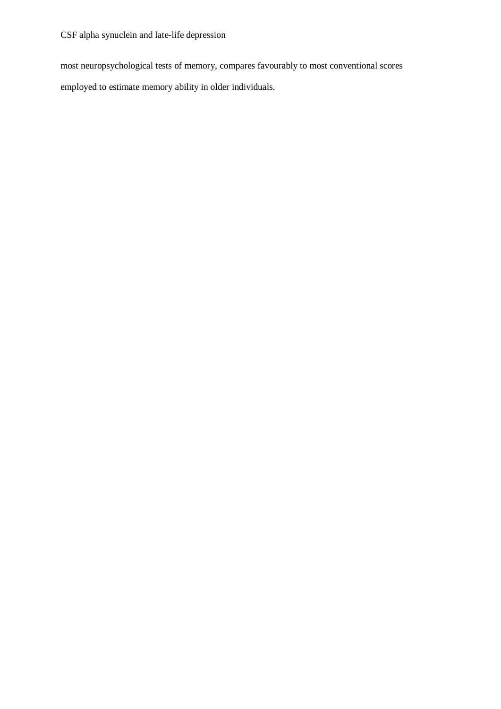CSF alpha synuclein and late-life depression

most neuropsychological tests of memory, compares favourably to most conventional scores employed to estimate memory ability in older individuals.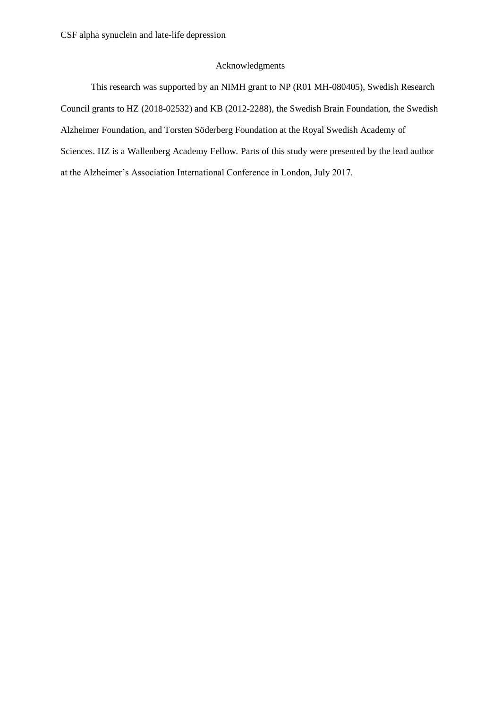# Acknowledgments

This research was supported by an NIMH grant to NP (R01 MH-080405), Swedish Research Council grants to HZ (2018-02532) and KB (2012-2288), the Swedish Brain Foundation, the Swedish Alzheimer Foundation, and Torsten Söderberg Foundation at the Royal Swedish Academy of Sciences. HZ is a Wallenberg Academy Fellow. Parts of this study were presented by the lead author at the Alzheimer's Association International Conference in London, July 2017.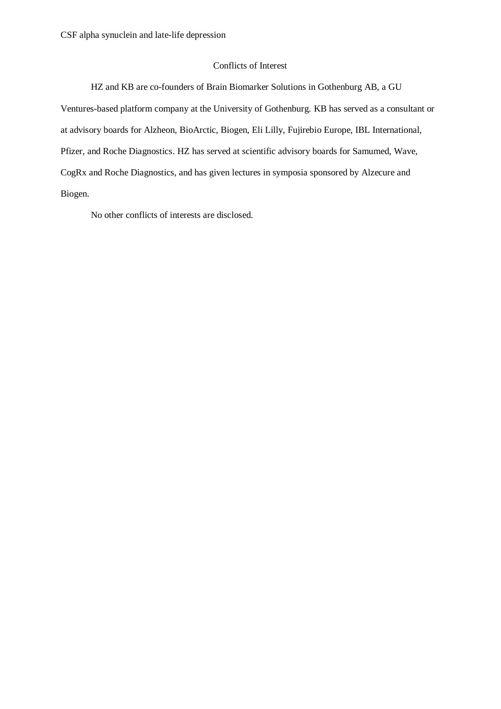# Conflicts of Interest

HZ and KB are co-founders of Brain Biomarker Solutions in Gothenburg AB, a GU Ventures-based platform company at the University of Gothenburg. KB has served as a consultant or at advisory boards for Alzheon, BioArctic, Biogen, Eli Lilly, Fujirebio Europe, IBL International, Pfizer, and Roche Diagnostics. HZ has served at scientific advisory boards for Samumed, Wave, CogRx and Roche Diagnostics, and has given lectures in symposia sponsored by Alzecure and Biogen.

No other conflicts of interests are disclosed.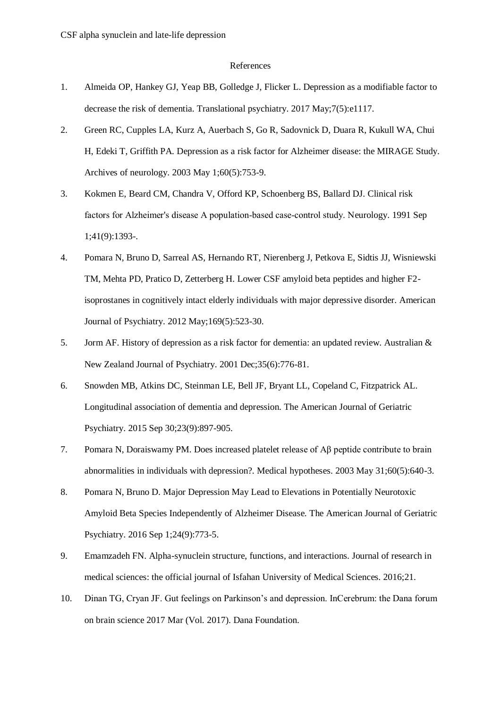### References

- 1. Almeida OP, Hankey GJ, Yeap BB, Golledge J, Flicker L. Depression as a modifiable factor to decrease the risk of dementia. Translational psychiatry. 2017 May;7(5):e1117.
- 2. Green RC, Cupples LA, Kurz A, Auerbach S, Go R, Sadovnick D, Duara R, Kukull WA, Chui H, Edeki T, Griffith PA. Depression as a risk factor for Alzheimer disease: the MIRAGE Study. Archives of neurology. 2003 May 1;60(5):753-9.
- 3. Kokmen E, Beard CM, Chandra V, Offord KP, Schoenberg BS, Ballard DJ. Clinical risk factors for Alzheimer's disease A population-based case-control study. Neurology. 1991 Sep 1;41(9):1393-.
- 4. Pomara N, Bruno D, Sarreal AS, Hernando RT, Nierenberg J, Petkova E, Sidtis JJ, Wisniewski TM, Mehta PD, Pratico D, Zetterberg H. Lower CSF amyloid beta peptides and higher F2 isoprostanes in cognitively intact elderly individuals with major depressive disorder. American Journal of Psychiatry. 2012 May;169(5):523-30.
- 5. Jorm AF. History of depression as a risk factor for dementia: an updated review. Australian & New Zealand Journal of Psychiatry. 2001 Dec;35(6):776-81.
- 6. Snowden MB, Atkins DC, Steinman LE, Bell JF, Bryant LL, Copeland C, Fitzpatrick AL. Longitudinal association of dementia and depression. The American Journal of Geriatric Psychiatry. 2015 Sep 30;23(9):897-905.
- 7. Pomara N, Doraiswamy PM. Does increased platelet release of Aβ peptide contribute to brain abnormalities in individuals with depression?. Medical hypotheses. 2003 May 31;60(5):640-3.
- 8. Pomara N, Bruno D. Major Depression May Lead to Elevations in Potentially Neurotoxic Amyloid Beta Species Independently of Alzheimer Disease. The American Journal of Geriatric Psychiatry. 2016 Sep 1;24(9):773-5.
- 9. Emamzadeh FN. Alpha-synuclein structure, functions, and interactions. Journal of research in medical sciences: the official journal of Isfahan University of Medical Sciences. 2016;21.
- 10. Dinan TG, Cryan JF. Gut feelings on Parkinson's and depression. InCerebrum: the Dana forum on brain science 2017 Mar (Vol. 2017). Dana Foundation.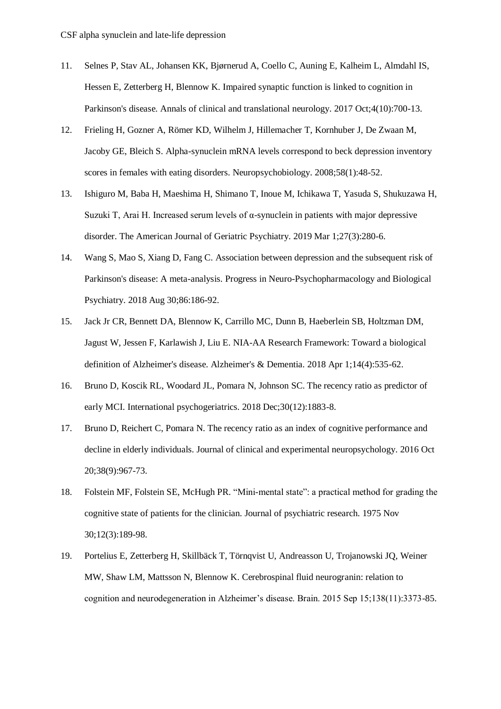- 11. Selnes P, Stav AL, Johansen KK, Bjørnerud A, Coello C, Auning E, Kalheim L, Almdahl IS, Hessen E, Zetterberg H, Blennow K. Impaired synaptic function is linked to cognition in Parkinson's disease. Annals of clinical and translational neurology. 2017 Oct;4(10):700-13.
- 12. Frieling H, Gozner A, Römer KD, Wilhelm J, Hillemacher T, Kornhuber J, De Zwaan M, Jacoby GE, Bleich S. Alpha-synuclein mRNA levels correspond to beck depression inventory scores in females with eating disorders. Neuropsychobiology. 2008;58(1):48-52.
- 13. Ishiguro M, Baba H, Maeshima H, Shimano T, Inoue M, Ichikawa T, Yasuda S, Shukuzawa H, Suzuki T, Arai H. Increased serum levels of α-synuclein in patients with major depressive disorder. The American Journal of Geriatric Psychiatry. 2019 Mar 1;27(3):280-6.
- 14. Wang S, Mao S, Xiang D, Fang C. Association between depression and the subsequent risk of Parkinson's disease: A meta-analysis. Progress in Neuro-Psychopharmacology and Biological Psychiatry. 2018 Aug 30;86:186-92.
- 15. Jack Jr CR, Bennett DA, Blennow K, Carrillo MC, Dunn B, Haeberlein SB, Holtzman DM, Jagust W, Jessen F, Karlawish J, Liu E. NIA-AA Research Framework: Toward a biological definition of Alzheimer's disease. Alzheimer's & Dementia. 2018 Apr 1;14(4):535-62.
- 16. Bruno D, Koscik RL, Woodard JL, Pomara N, Johnson SC. The recency ratio as predictor of early MCI. International psychogeriatrics. 2018 Dec;30(12):1883-8.
- 17. Bruno D, Reichert C, Pomara N. The recency ratio as an index of cognitive performance and decline in elderly individuals. Journal of clinical and experimental neuropsychology. 2016 Oct 20;38(9):967-73.
- 18. Folstein MF, Folstein SE, McHugh PR. "Mini-mental state": a practical method for grading the cognitive state of patients for the clinician. Journal of psychiatric research. 1975 Nov 30;12(3):189-98.
- 19. Portelius E, Zetterberg H, Skillbäck T, Törnqvist U, Andreasson U, Trojanowski JQ, Weiner MW, Shaw LM, Mattsson N, Blennow K. Cerebrospinal fluid neurogranin: relation to cognition and neurodegeneration in Alzheimer's disease. Brain. 2015 Sep 15;138(11):3373-85.